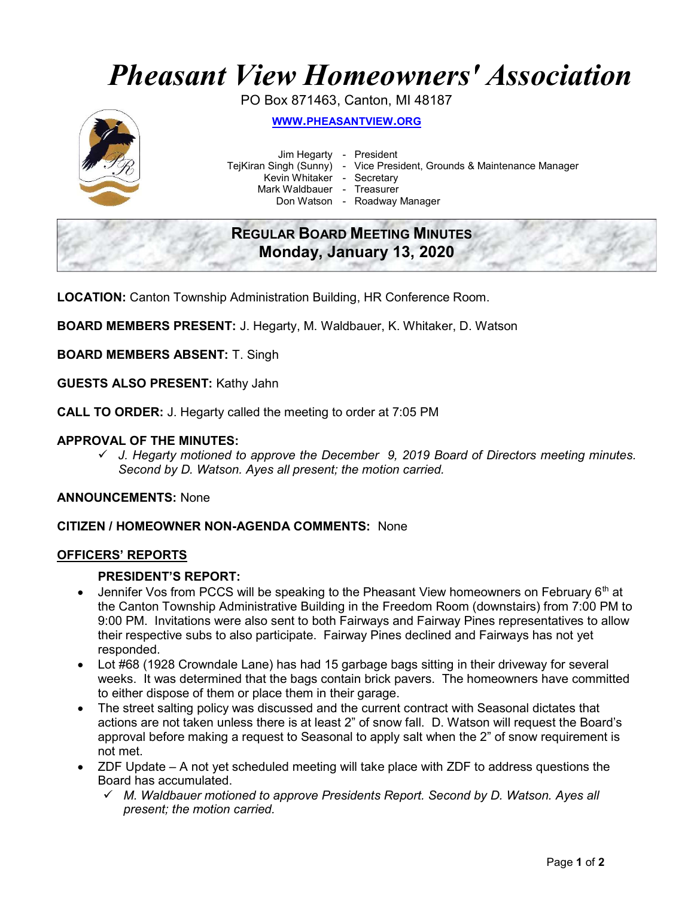# Pheasant View Homeowners' Association

PO Box 871463, Canton, MI 48187



WWW.PHEASANTVIEW.ORG

Jim Hegarty - President

TejKiran Singh (Sunny) - Vice President, Grounds & Maintenance Manager

Kevin Whitaker - Secretary

Mark Waldbauer - Treasurer

Don Watson - Roadway Manager

# REGULAR BOARD MEETING MINUTES Monday, January 13, 2020

LOCATION: Canton Township Administration Building, HR Conference Room.

BOARD MEMBERS PRESENT: J. Hegarty, M. Waldbauer, K. Whitaker, D. Watson

BOARD MEMBERS ABSENT: T. Singh

GUESTS ALSO PRESENT: Kathy Jahn

CALL TO ORDER: J. Hegarty called the meeting to order at 7:05 PM

# APPROVAL OF THE MINUTES:

 $\checkmark$  J. Hegarty motioned to approve the December 9, 2019 Board of Directors meeting minutes. Second by D. Watson. Ayes all present; the motion carried.

ANNOUNCEMENTS: None

# CITIZEN / HOMEOWNER NON-AGENDA COMMENTS: None

#### OFFICERS' REPORTS

#### PRESIDENT'S REPORT:

- $\bullet$  Jennifer Vos from PCCS will be speaking to the Pheasant View homeowners on February 6<sup>th</sup> at the Canton Township Administrative Building in the Freedom Room (downstairs) from 7:00 PM to 9:00 PM. Invitations were also sent to both Fairways and Fairway Pines representatives to allow their respective subs to also participate. Fairway Pines declined and Fairways has not yet responded.
- Lot #68 (1928 Crowndale Lane) has had 15 garbage bags sitting in their driveway for several weeks. It was determined that the bags contain brick pavers. The homeowners have committed to either dispose of them or place them in their garage.
- The street salting policy was discussed and the current contract with Seasonal dictates that actions are not taken unless there is at least 2" of snow fall. D. Watson will request the Board's approval before making a request to Seasonal to apply salt when the 2" of snow requirement is not met.
- ZDF Update A not yet scheduled meeting will take place with ZDF to address questions the Board has accumulated.
	- $\checkmark$  M. Waldbauer motioned to approve Presidents Report. Second by D. Watson. Ayes all present; the motion carried.